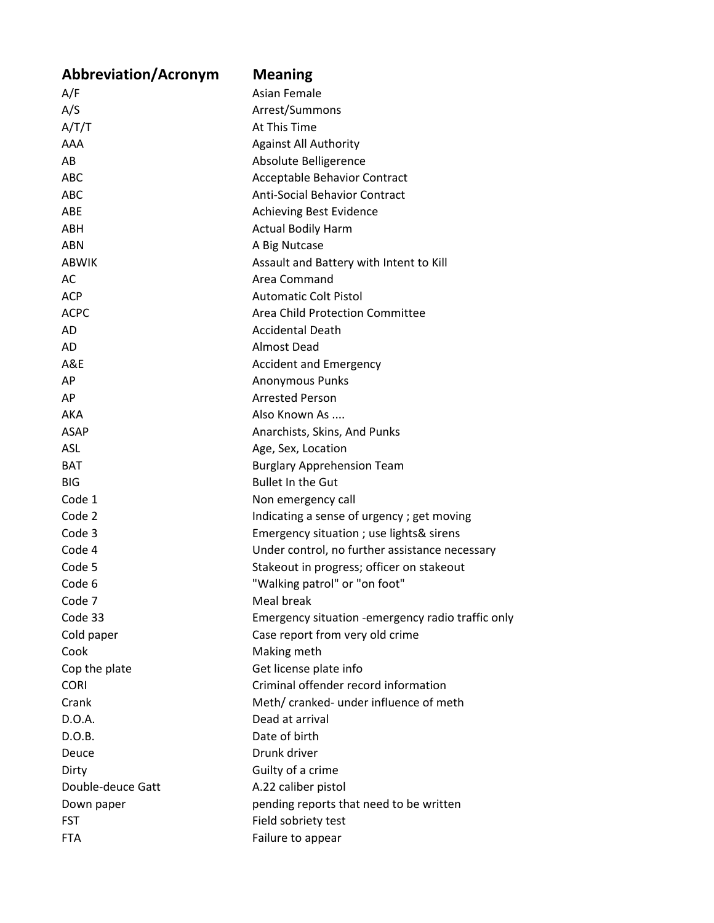| <b>Abbreviation/Acronym</b> | <b>Meaning</b>                                    |
|-----------------------------|---------------------------------------------------|
| A/F                         | <b>Asian Female</b>                               |
| A/S                         | Arrest/Summons                                    |
| A/T/T                       | At This Time                                      |
| AAA                         | <b>Against All Authority</b>                      |
| AB                          | Absolute Belligerence                             |
| <b>ABC</b>                  | Acceptable Behavior Contract                      |
| <b>ABC</b>                  | <b>Anti-Social Behavior Contract</b>              |
| ABE                         | <b>Achieving Best Evidence</b>                    |
| ABH                         | <b>Actual Bodily Harm</b>                         |
| ABN                         | A Big Nutcase                                     |
| <b>ABWIK</b>                | Assault and Battery with Intent to Kill           |
| AC                          | Area Command                                      |
| <b>ACP</b>                  | <b>Automatic Colt Pistol</b>                      |
| <b>ACPC</b>                 | Area Child Protection Committee                   |
| AD                          | <b>Accidental Death</b>                           |
| AD                          | <b>Almost Dead</b>                                |
| A&E                         | <b>Accident and Emergency</b>                     |
| AP                          | <b>Anonymous Punks</b>                            |
| AP                          | <b>Arrested Person</b>                            |
| AKA                         | Also Known As                                     |
| <b>ASAP</b>                 | Anarchists, Skins, And Punks                      |
| ASL                         | Age, Sex, Location                                |
| <b>BAT</b>                  | <b>Burglary Apprehension Team</b>                 |
| <b>BIG</b>                  | <b>Bullet In the Gut</b>                          |
| Code 1                      | Non emergency call                                |
| Code 2                      | Indicating a sense of urgency; get moving         |
| Code 3                      | Emergency situation ; use lights& sirens          |
| Code 4                      | Under control, no further assistance necessary    |
| Code 5                      | Stakeout in progress; officer on stakeout         |
| Code 6                      | "Walking patrol" or "on foot"                     |
| Code 7                      | Meal break                                        |
| Code 33                     | Emergency situation -emergency radio traffic only |
| Cold paper                  | Case report from very old crime                   |
| Cook                        | Making meth                                       |
| Cop the plate               | Get license plate info                            |
| <b>CORI</b>                 | Criminal offender record information              |
| Crank                       | Meth/ cranked- under influence of meth            |
| D.O.A.                      | Dead at arrival                                   |
| D.O.B.                      | Date of birth                                     |
| Deuce                       | Drunk driver                                      |
| Dirty                       | Guilty of a crime                                 |
| Double-deuce Gatt           | A.22 caliber pistol                               |
| Down paper                  | pending reports that need to be written           |
| <b>FST</b>                  | Field sobriety test                               |
| <b>FTA</b>                  | Failure to appear                                 |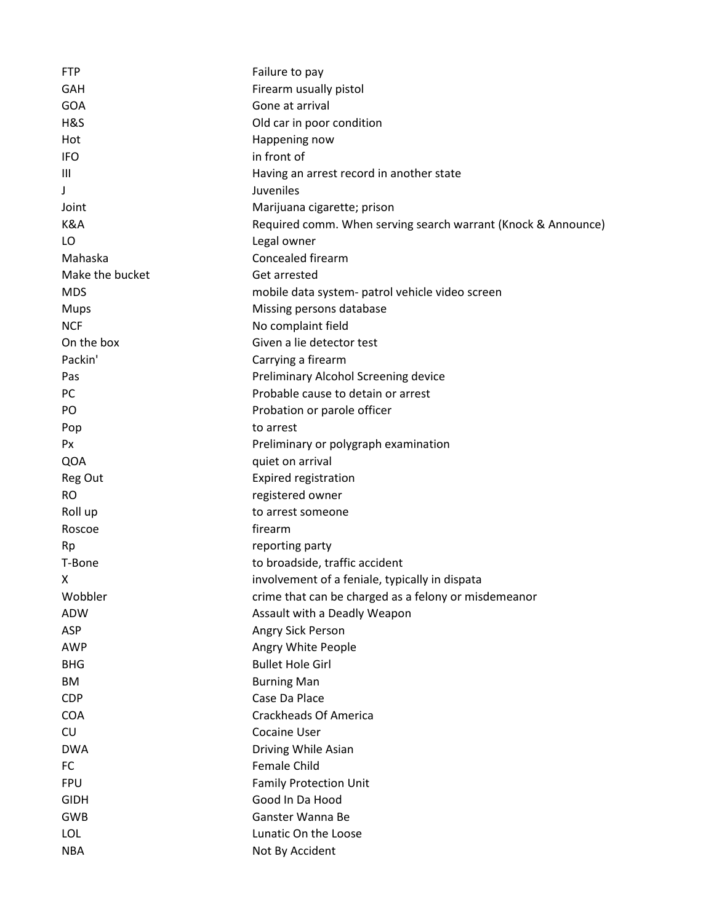| <b>FTP</b>      | Failure to pay                                                |
|-----------------|---------------------------------------------------------------|
| GAH             | Firearm usually pistol                                        |
| GOA             | Gone at arrival                                               |
| H&S             | Old car in poor condition                                     |
| Hot             | Happening now                                                 |
| <b>IFO</b>      | in front of                                                   |
| Ш               | Having an arrest record in another state                      |
| J               | Juveniles                                                     |
| Joint           | Marijuana cigarette; prison                                   |
| K&A             | Required comm. When serving search warrant (Knock & Announce) |
| LO              | Legal owner                                                   |
| Mahaska         | Concealed firearm                                             |
| Make the bucket | Get arrested                                                  |
| <b>MDS</b>      | mobile data system- patrol vehicle video screen               |
| <b>Mups</b>     | Missing persons database                                      |
| <b>NCF</b>      | No complaint field                                            |
| On the box      | Given a lie detector test                                     |
| Packin'         | Carrying a firearm                                            |
| Pas             | Preliminary Alcohol Screening device                          |
| PC              | Probable cause to detain or arrest                            |
| PO              | Probation or parole officer                                   |
| Pop             | to arrest                                                     |
| Px              | Preliminary or polygraph examination                          |
| QOA             | quiet on arrival                                              |
| Reg Out         | <b>Expired registration</b>                                   |
| <b>RO</b>       | registered owner                                              |
| Roll up         | to arrest someone                                             |
| Roscoe          | firearm                                                       |
| Rp              | reporting party                                               |
| T-Bone          | to broadside, traffic accident                                |
| X               | involvement of a feniale, typically in dispata                |
| Wobbler         | crime that can be charged as a felony or misdemeanor          |
| <b>ADW</b>      | Assault with a Deadly Weapon                                  |
| ASP             | Angry Sick Person                                             |
| <b>AWP</b>      | Angry White People                                            |
| <b>BHG</b>      | <b>Bullet Hole Girl</b>                                       |
| ВM              | <b>Burning Man</b>                                            |
| <b>CDP</b>      | Case Da Place                                                 |
| <b>COA</b>      | <b>Crackheads Of America</b>                                  |
| CU              | <b>Cocaine User</b>                                           |
| <b>DWA</b>      | Driving While Asian                                           |
| FC              | Female Child                                                  |
| <b>FPU</b>      | <b>Family Protection Unit</b>                                 |
| <b>GIDH</b>     | Good In Da Hood                                               |
| <b>GWB</b>      | Ganster Wanna Be                                              |
| <b>LOL</b>      | Lunatic On the Loose                                          |
| <b>NBA</b>      | Not By Accident                                               |